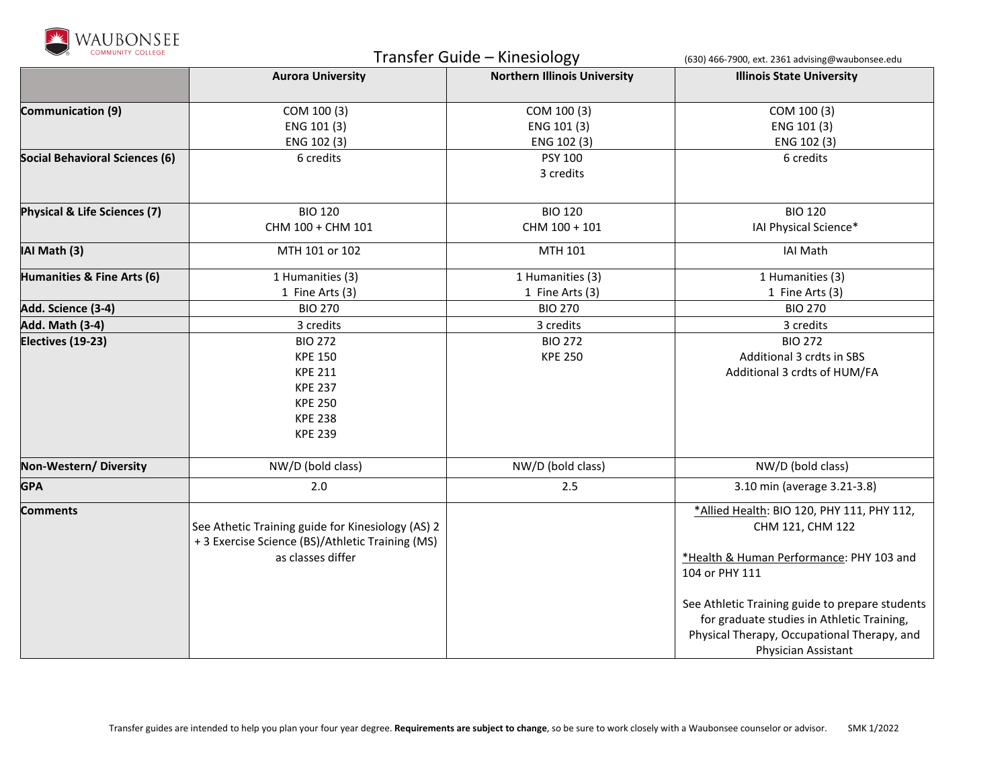

| <b>COMMUNITY COLLEGE</b>              | Transfer Guide - Kinesiology                                                                                               |                                           | (630) 466-7900, ext. 2361 advising@waubonsee.edu                                                                                                                                                                                                                                                    |
|---------------------------------------|----------------------------------------------------------------------------------------------------------------------------|-------------------------------------------|-----------------------------------------------------------------------------------------------------------------------------------------------------------------------------------------------------------------------------------------------------------------------------------------------------|
|                                       | <b>Aurora University</b>                                                                                                   | <b>Northern Illinois University</b>       | <b>Illinois State University</b>                                                                                                                                                                                                                                                                    |
| Communication (9)                     | COM 100 (3)<br>ENG 101 (3)<br>ENG 102 (3)                                                                                  | COM 100 (3)<br>ENG 101 (3)<br>ENG 102 (3) | COM 100 (3)<br>ENG 101 (3)<br>ENG 102 (3)                                                                                                                                                                                                                                                           |
| <b>Social Behavioral Sciences (6)</b> | 6 credits                                                                                                                  | <b>PSY 100</b><br>3 credits               | 6 credits                                                                                                                                                                                                                                                                                           |
| Physical & Life Sciences (7)          | <b>BIO 120</b><br>CHM 100 + CHM 101                                                                                        | <b>BIO 120</b><br>CHM 100 + 101           | <b>BIO 120</b><br>IAI Physical Science*                                                                                                                                                                                                                                                             |
| IAI Math (3)                          | MTH 101 or 102                                                                                                             | MTH 101                                   | <b>IAI Math</b>                                                                                                                                                                                                                                                                                     |
| Humanities & Fine Arts (6)            | 1 Humanities (3)<br>1 Fine Arts (3)                                                                                        | 1 Humanities (3)<br>1 Fine Arts (3)       | 1 Humanities (3)<br>1 Fine Arts (3)                                                                                                                                                                                                                                                                 |
| Add. Science (3-4)                    | <b>BIO 270</b>                                                                                                             | <b>BIO 270</b>                            | <b>BIO 270</b>                                                                                                                                                                                                                                                                                      |
| <b>Add. Math (3-4)</b>                | 3 credits                                                                                                                  | 3 credits                                 | 3 credits                                                                                                                                                                                                                                                                                           |
| Electives (19-23)                     | <b>BIO 272</b><br><b>KPE 150</b><br><b>KPE 211</b><br><b>KPE 237</b><br><b>KPE 250</b><br><b>KPE 238</b><br><b>KPE 239</b> | <b>BIO 272</b><br><b>KPE 250</b>          | <b>BIO 272</b><br>Additional 3 crdts in SBS<br>Additional 3 crdts of HUM/FA                                                                                                                                                                                                                         |
| Non-Western/Diversity                 | NW/D (bold class)                                                                                                          | NW/D (bold class)                         | NW/D (bold class)                                                                                                                                                                                                                                                                                   |
| <b>GPA</b>                            | 2.0                                                                                                                        | 2.5                                       | 3.10 min (average 3.21-3.8)                                                                                                                                                                                                                                                                         |
| <b>Comments</b>                       | See Athetic Training guide for Kinesiology (AS) 2<br>+ 3 Exercise Science (BS)/Athletic Training (MS)<br>as classes differ |                                           | *Allied Health: BIO 120, PHY 111, PHY 112,<br>CHM 121, CHM 122<br>*Health & Human Performance: PHY 103 and<br>104 or PHY 111<br>See Athletic Training guide to prepare students<br>for graduate studies in Athletic Training,<br>Physical Therapy, Occupational Therapy, and<br>Physician Assistant |